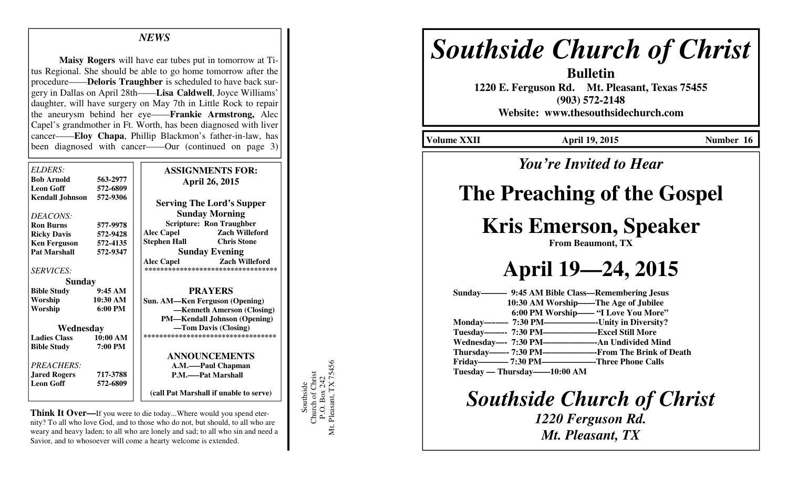#### *NEWS*

**Maisy Rogers** will have ear tubes put in tomorrow at Titus Regional. She should be able to go home tomorrow after the procedure——**Deloris Traughber** is scheduled to have back surgery in Dallas on April 28th——**Lisa Caldwell**, Joyce Williams' daughter, will have surgery on May 7th in Little Rock to repair the aneurysm behind her eye——**Frankie Armstrong,** Alec Capel's grandmother in Ft. Worth, has been diagnosed with liver cancer——**Eloy Chapa**, Phillip Blackmon's father-in-law, has been diagnosed with cancer——Our (continued on page 3)

| ELDERS:<br><b>Bob Arnold</b><br><b>Leon Goff</b><br><b>Kendall Johnson</b> | 563-2977<br>572-6809<br>572-9306 | <b>ASSIGNMENTS FOR:</b><br><b>April 26, 2015</b> |
|----------------------------------------------------------------------------|----------------------------------|--------------------------------------------------|
|                                                                            |                                  | <b>Serving The Lord's Supper</b>                 |
| DEACONS:                                                                   |                                  | <b>Sunday Morning</b>                            |
| <b>Ron Burns</b>                                                           | 577-9978                         | <b>Scripture: Ron Traughber</b>                  |
| <b>Ricky Davis</b>                                                         | 572-9428                         | <b>Zach Willeford</b><br><b>Alec Capel</b>       |
| <b>Ken Ferguson</b>                                                        | 572-4135                         | <b>Chris Stone</b><br>Stephen Hall               |
| <b>Pat Marshall</b>                                                        | 572-9347                         | <b>Sunday Evening</b>                            |
|                                                                            |                                  | <b>Alec Capel</b><br><b>Zach Willeford</b>       |
| <b>SERVICES:</b>                                                           |                                  | **********************************               |
| <b>Sunday</b>                                                              |                                  |                                                  |
| <b>Bible Study</b>                                                         | 9:45 AM                          | <b>PRAYERS</b>                                   |
| Worship                                                                    | 10:30 AM                         | <b>Sun. AM—Ken Ferguson (Opening)</b>            |
| Worship                                                                    | $6:00 \text{ PM}$                | -Kenneth Amerson (Closing)                       |
|                                                                            |                                  | <b>PM—Kendall Johnson (Opening)</b>              |
| Wednesday                                                                  |                                  | —Tom Davis (Closing)                             |
| <b>Ladies Class</b>                                                        | 10:00 AM                         | ***********************************              |
| <b>Bible Study</b>                                                         | 7:00 PM                          |                                                  |
|                                                                            |                                  | <b>ANNOUNCEMENTS</b>                             |
| PREACHERS:                                                                 |                                  | A.M.——Paul Chapman                               |
| <b>Jared Rogers</b>                                                        | 717-3788                         | P.M.——Pat Marshall                               |
| <b>Leon Goff</b>                                                           | 572-6809                         |                                                  |
|                                                                            |                                  | (call Pat Marshall if unable to serve)           |

**Think It Over—**If you were to die today...Where would you spend eternity? To all who love God, and to those who do not, but should, to all who are weary and heavy laden; to all who are lonely and sad; to all who sin and need a Savior, and to whosoever will come a hearty welcome is extended.

Southside<br>Church of Christ<br>P.O. Box 242<br>Mt. Pleasant, TX 75456 Mt. Pleasant, TX 75456 Church of Christ P.O. Box 242 Southside

# *Southside Church of Christ*

**Bulletin 1220 E. Ferguson Rd. Mt. Pleasant, Texas 75455 (903) 572-2148 Website: www.thesouthsidechurch.com** 

**Volume XXII April 19, 2015 Number 16** 

### *You're Invited to Hear*

### **The Preaching of the Gospel**

## **Kris Emerson, Speaker**

**From Beaumont, TX** 

**April 19—24, 2015** 

**Sunday——— 9:45 AM Bible Class—Remembering Jesus 10:30 AM Worship——The Age of Jubilee 6:00 PM Worship—— "I Love You More" Monday—-—– 7:30 PM——————-Unity in Diversity? Tuesday——-- 7:30 PM——————-Excel Still More** -- An Undivided Mind **Wednesday—- 7:30 PM—————** --From The Brink of Death **Thursday——- 7:30 PM—— Friday———– 7:30 PM——————-Three Phone Calls Tuesday — Thursday——10:00 AM** 

*Southside Church of Christ* 

*1220 Ferguson Rd. Mt. Pleasant, TX*